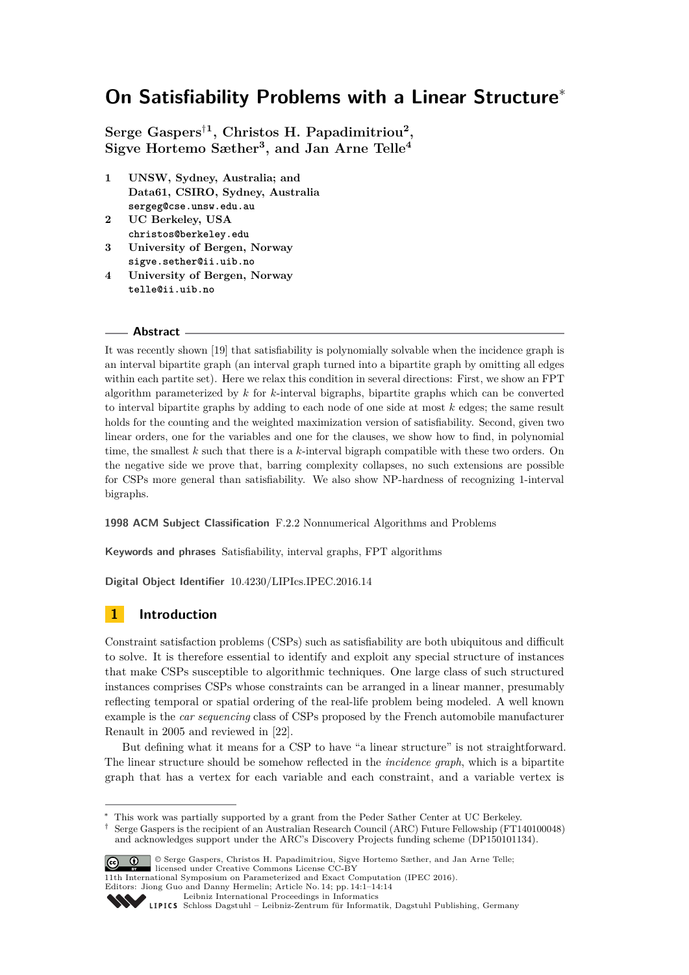# **On Satisfiability Problems with a Linear Structure**<sup>∗</sup>

**Serge Gaspers**†**<sup>1</sup> , Christos H. Papadimitriou<sup>2</sup> , Sigve Hortemo Sæther<sup>3</sup> , and Jan Arne Telle<sup>4</sup>**

- **1 UNSW, Sydney, Australia; and Data61, CSIRO, Sydney, Australia sergeg@cse.unsw.edu.au**
- **2 UC Berkeley, USA christos@berkeley.edu**
- **3 University of Bergen, Norway sigve.sether@ii.uib.no**
- **4 University of Bergen, Norway telle@ii.uib.no**

### **Abstract**

It was recently shown [\[19\]](#page-12-0) that satisfiability is polynomially solvable when the incidence graph is an interval bipartite graph (an interval graph turned into a bipartite graph by omitting all edges within each partite set). Here we relax this condition in several directions: First, we show an FPT algorithm parameterized by *k* for *k*-interval bigraphs, bipartite graphs which can be converted to interval bipartite graphs by adding to each node of one side at most *k* edges; the same result holds for the counting and the weighted maximization version of satisfiability. Second, given two linear orders, one for the variables and one for the clauses, we show how to find, in polynomial time, the smallest *k* such that there is a *k*-interval bigraph compatible with these two orders. On the negative side we prove that, barring complexity collapses, no such extensions are possible for CSPs more general than satisfiability. We also show NP-hardness of recognizing 1-interval bigraphs.

### **1998 ACM Subject Classification** F.2.2 Nonnumerical Algorithms and Problems

**Keywords and phrases** Satisfiability, interval graphs, FPT algorithms

**Digital Object Identifier** [10.4230/LIPIcs.IPEC.2016.14](http://dx.doi.org/10.4230/LIPIcs.IPEC.2016.14)

# **1 Introduction**

Constraint satisfaction problems (CSPs) such as satisfiability are both ubiquitous and difficult to solve. It is therefore essential to identify and exploit any special structure of instances that make CSPs susceptible to algorithmic techniques. One large class of such structured instances comprises CSPs whose constraints can be arranged in a linear manner, presumably reflecting temporal or spatial ordering of the real-life problem being modeled. A well known example is the *car sequencing* class of CSPs proposed by the French automobile manufacturer Renault in 2005 and reviewed in [\[22\]](#page-13-0).

But defining what it means for a CSP to have "a linear structure" is not straightforward. The linear structure should be somehow reflected in the *incidence graph*, which is a bipartite graph that has a vertex for each variable and each constraint, and a variable vertex is

<sup>†</sup> Serge Gaspers is the recipient of an Australian Research Council (ARC) Future Fellowship (FT140100048) and acknowledges support under the ARC's Discovery Projects funding scheme (DP150101134).



<sup>©</sup> Serge Gaspers, Christos H. Papadimitriou, Sigve Hortemo Sæther, and Jan Arne Telle; licensed under Creative Commons License CC-BY

11th International Symposium on Parameterized and Exact Computation (IPEC 2016). Editors: Jiong Guo and Danny Hermelin; Article No. 14; pp. 14:1–14[:14](#page-13-1)

[Leibniz International Proceedings in Informatics](http://www.dagstuhl.de/lipics/)

<sup>∗</sup> This work was partially supported by a grant from the Peder Sather Center at UC Berkeley.

Leibniz international ruse einigs in missimosischen Publishing, Germany<br>LIPICS [Schloss Dagstuhl – Leibniz-Zentrum für Informatik, Dagstuhl Publishing, Germany](http://www.dagstuhl.de)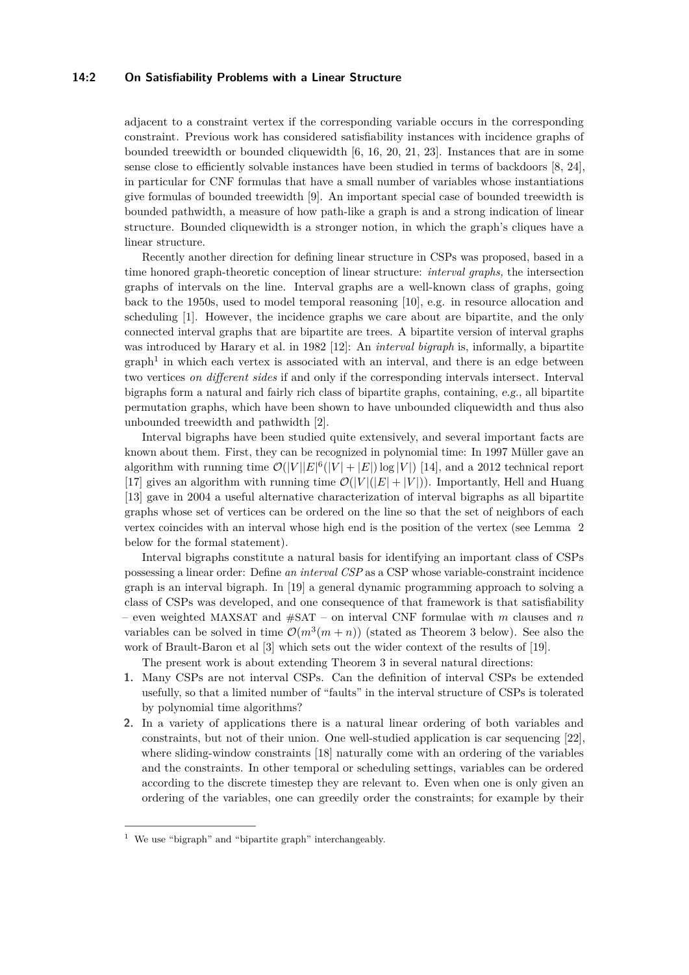### **14:2 On Satisfiability Problems with a Linear Structure**

adjacent to a constraint vertex if the corresponding variable occurs in the corresponding constraint. Previous work has considered satisfiability instances with incidence graphs of bounded treewidth or bounded cliquewidth [\[6,](#page-12-1) [16,](#page-12-2) [20,](#page-13-2) [21,](#page-13-3) [23\]](#page-13-4). Instances that are in some sense close to efficiently solvable instances have been studied in terms of backdoors [\[8,](#page-12-3) [24\]](#page-13-5), in particular for CNF formulas that have a small number of variables whose instantiations give formulas of bounded treewidth [\[9\]](#page-12-4). An important special case of bounded treewidth is bounded pathwidth, a measure of how path-like a graph is and a strong indication of linear structure. Bounded cliquewidth is a stronger notion, in which the graph's cliques have a linear structure.

Recently another direction for defining linear structure in CSPs was proposed, based in a time honored graph-theoretic conception of linear structure: *interval graphs,* the intersection graphs of intervals on the line. Interval graphs are a well-known class of graphs, going back to the 1950s, used to model temporal reasoning [\[10\]](#page-12-5), e.g. in resource allocation and scheduling [\[1\]](#page-11-0). However, the incidence graphs we care about are bipartite, and the only connected interval graphs that are bipartite are trees. A bipartite version of interval graphs was introduced by Harary et al. in 1982 [\[12\]](#page-12-6): An *interval bigraph* is, informally, a bipartite  $graph<sup>1</sup>$  $graph<sup>1</sup>$  $graph<sup>1</sup>$  in which each vertex is associated with an interval, and there is an edge between two vertices *on different sides* if and only if the corresponding intervals intersect. Interval bigraphs form a natural and fairly rich class of bipartite graphs, containing, e.g., all bipartite permutation graphs, which have been shown to have unbounded cliquewidth and thus also unbounded treewidth and pathwidth [\[2\]](#page-11-1).

Interval bigraphs have been studied quite extensively, and several important facts are known about them. First, they can be recognized in polynomial time: In 1997 Müller gave an algorithm with running time  $\mathcal{O}(|V||E|^6(|V|+|E|)\log|V|)$  [\[14\]](#page-12-7), and a 2012 technical report [\[17\]](#page-12-8) gives an algorithm with running time  $\mathcal{O}(|V|(|E|+|V|))$ . Importantly, Hell and Huang [\[13\]](#page-12-9) gave in 2004 a useful alternative characterization of interval bigraphs as all bipartite graphs whose set of vertices can be ordered on the line so that the set of neighbors of each vertex coincides with an interval whose high end is the position of the vertex (see Lemma [2](#page-2-0) below for the formal statement).

Interval bigraphs constitute a natural basis for identifying an important class of CSPs possessing a linear order: Define *an interval CSP* as a CSP whose variable-constraint incidence graph is an interval bigraph. In [\[19\]](#page-12-0) a general dynamic programming approach to solving a class of CSPs was developed, and one consequence of that framework is that satisfiability – even weighted MAXSAT and #SAT – on interval CNF formulae with *m* clauses and *n* variables can be solved in time  $\mathcal{O}(m^3(m+n))$  (stated as Theorem [3](#page-3-0) below). See also the work of Brault-Baron et al [\[3\]](#page-11-2) which sets out the wider context of the results of [\[19\]](#page-12-0).

The present work is about extending Theorem [3](#page-3-0) in several natural directions:

- **1.** Many CSPs are not interval CSPs. Can the definition of interval CSPs be extended usefully, so that a limited number of "faults" in the interval structure of CSPs is tolerated by polynomial time algorithms?
- **2.** In a variety of applications there is a natural linear ordering of both variables and constraints, but not of their union. One well-studied application is car sequencing [\[22\]](#page-13-0), where sliding-window constraints [\[18\]](#page-12-10) naturally come with an ordering of the variables and the constraints. In other temporal or scheduling settings, variables can be ordered according to the discrete timestep they are relevant to. Even when one is only given an ordering of the variables, one can greedily order the constraints; for example by their

<span id="page-1-0"></span><sup>1</sup> We use "bigraph" and "bipartite graph" interchangeably.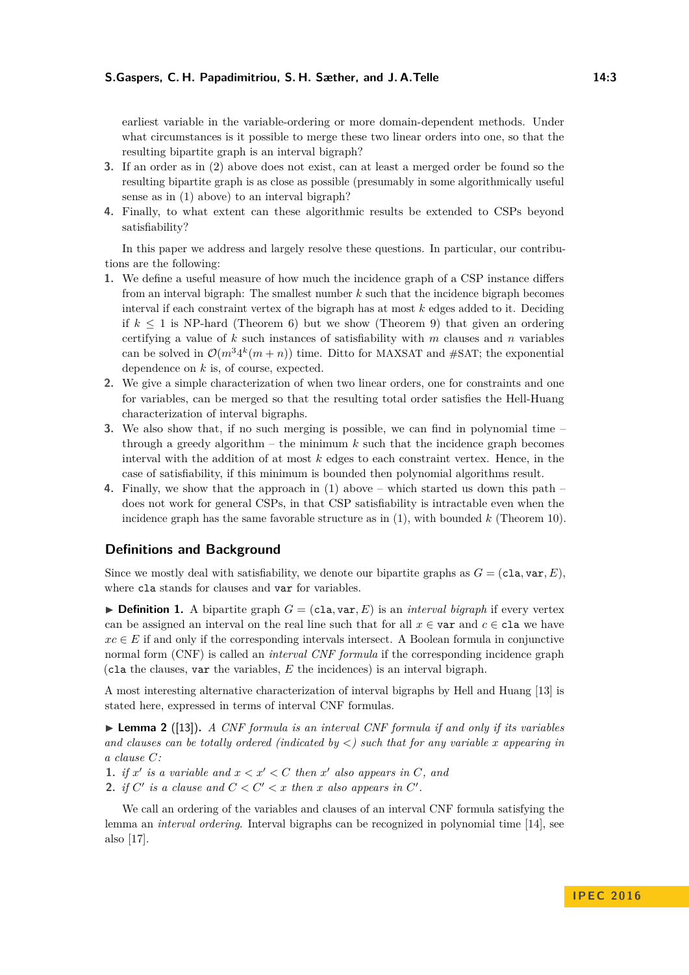earliest variable in the variable-ordering or more domain-dependent methods. Under what circumstances is it possible to merge these two linear orders into one, so that the resulting bipartite graph is an interval bigraph?

- **3.** If an order as in (2) above does not exist, can at least a merged order be found so the resulting bipartite graph is as close as possible (presumably in some algorithmically useful sense as in (1) above) to an interval bigraph?
- **4.** Finally, to what extent can these algorithmic results be extended to CSPs beyond satisfiability?

In this paper we address and largely resolve these questions. In particular, our contributions are the following:

- **1.** We define a useful measure of how much the incidence graph of a CSP instance differs from an interval bigraph: The smallest number *k* such that the incidence bigraph becomes interval if each constraint vertex of the bigraph has at most *k* edges added to it. Deciding if  $k \leq 1$  is NP-hard (Theorem [6\)](#page-3-1) but we show (Theorem [9\)](#page-3-2) that given an ordering certifying a value of *k* such instances of satisfiability with *m* clauses and *n* variables can be solved in  $\mathcal{O}(m^3 4^k(m+n))$  time. Ditto for MAXSAT and #SAT; the exponential dependence on *k* is, of course, expected.
- **2.** We give a simple characterization of when two linear orders, one for constraints and one for variables, can be merged so that the resulting total order satisfies the Hell-Huang characterization of interval bigraphs.
- **3.** We also show that, if no such merging is possible, we can find in polynomial time through a greedy algorithm – the minimum  $k$  such that the incidence graph becomes interval with the addition of at most *k* edges to each constraint vertex. Hence, in the case of satisfiability, if this minimum is bounded then polynomial algorithms result.
- **4.** Finally, we show that the approach in (1) above which started us down this path does not work for general CSPs, in that CSP satisfiability is intractable even when the incidence graph has the same favorable structure as in (1), with bounded *k* (Theorem [10\)](#page-4-0).

### **Definitions and Background**

Since we mostly deal with satisfiability, we denote our bipartite graphs as  $G = (c1a, var, E)$ , where cla stands for clauses and var for variables.

 $\triangleright$  **Definition 1.** A bipartite graph  $G = (c1a, var, E)$  is an *interval bigraph* if every vertex can be assigned an interval on the real line such that for all  $x \in \text{var}$  and  $c \in \text{cla}$  we have  $xc \in E$  if and only if the corresponding intervals intersect. A Boolean formula in conjunctive normal form (CNF) is called an *interval CNF formula* if the corresponding incidence graph (cla the clauses, var the variables, *E* the incidences) is an interval bigraph.

A most interesting alternative characterization of interval bigraphs by Hell and Huang [\[13\]](#page-12-9) is stated here, expressed in terms of interval CNF formulas.

<span id="page-2-0"></span>▶ **Lemma 2** ([\[13\]](#page-12-9)). *A CNF formula is an interval CNF formula if and only if its variables and clauses can be totally ordered (indicated by <) such that for any variable x appearing in a clause C:*

- **1.** *if*  $x'$  *is a variable and*  $x < x' < C$  *then*  $x'$  *also appears in*  $C$ *, and*
- **2.** *if*  $C'$  *is a clause and*  $C < C' < x$  *then x also appears in*  $C'$ *.*

We call an ordering of the variables and clauses of an interval CNF formula satisfying the lemma an *interval ordering*. Interval bigraphs can be recognized in polynomial time [\[14\]](#page-12-7), see also [\[17\]](#page-12-8).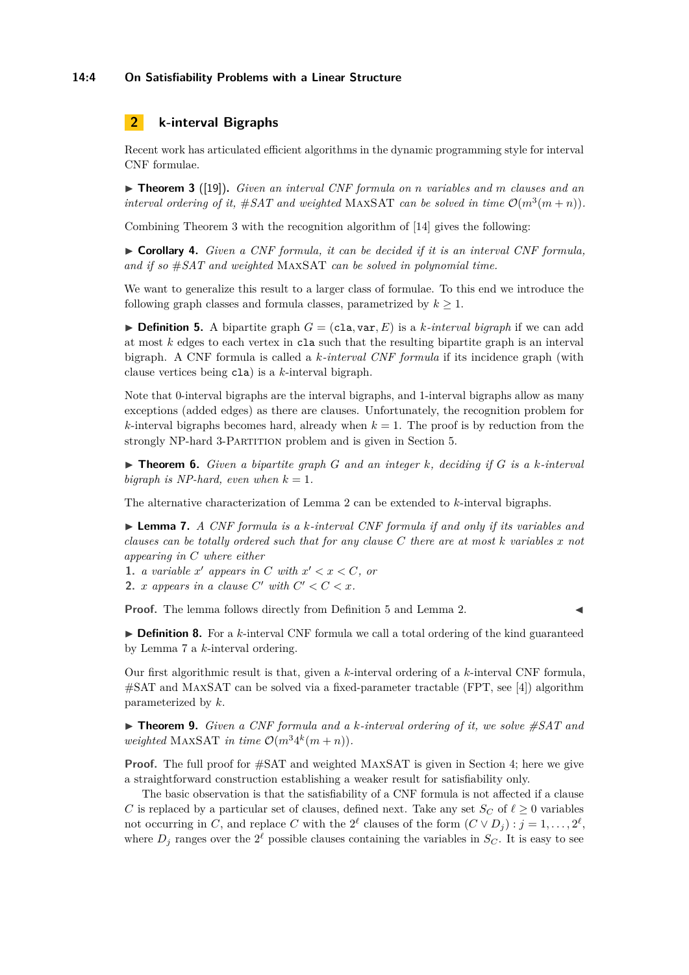### **14:4 On Satisfiability Problems with a Linear Structure**

# **2 k-interval Bigraphs**

Recent work has articulated efficient algorithms in the dynamic programming style for interval CNF formulae.

<span id="page-3-0"></span>I **Theorem 3** ([\[19\]](#page-12-0))**.** *Given an interval CNF formula on n variables and m clauses and an interval ordering of it,*  $#SAT$  *and weighted* MAXSAT *can be solved in time*  $\mathcal{O}(m^3(m+n))$ *.* 

Combining Theorem [3](#page-3-0) with the recognition algorithm of [\[14\]](#page-12-7) gives the following:

I **Corollary 4.** *Given a CNF formula, it can be decided if it is an interval CNF formula, and if so* #*SAT and weighted* MaxSAT *can be solved in polynomial time.*

We want to generalize this result to a larger class of formulae. To this end we introduce the following graph classes and formula classes, parametrized by  $k \geq 1$ .

<span id="page-3-3"></span> $\triangleright$  **Definition 5.** A bipartite graph  $G = (c1a, var, E)$  is a *k*-interval bigraph if we can add at most *k* edges to each vertex in cla such that the resulting bipartite graph is an interval bigraph. A CNF formula is called a *k-interval CNF formula* if its incidence graph (with clause vertices being cla) is a *k*-interval bigraph.

Note that 0-interval bigraphs are the interval bigraphs, and 1-interval bigraphs allow as many exceptions (added edges) as there are clauses. Unfortunately, the recognition problem for *k*-interval bigraphs becomes hard, already when  $k = 1$ . The proof is by reduction from the strongly NP-hard 3-PARTITION problem and is given in Section [5.](#page-9-0)

<span id="page-3-1"></span> $\triangleright$  **Theorem 6.** *Given a bipartite graph G and an integer k*, deciding if *G is a k*-interval *bigraph is NP-hard, even when*  $k = 1$ .

The alternative characterization of Lemma [2](#page-2-0) can be extended to *k*-interval bigraphs.

<span id="page-3-4"></span>I **Lemma 7.** *A CNF formula is a k-interval CNF formula if and only if its variables and clauses can be totally ordered such that for any clause C there are at most k variables x not appearing in C where either*

**1.** *a variable*  $x'$  *appears in*  $C$  *with*  $x' < x < C$ *, or* 

**2.** *x* appears in a clause  $C'$  with  $C' < C < x$ .

**Proof.** The lemma follows directly from Definition [5](#page-3-3) and Lemma [2.](#page-2-0)

 $\triangleright$  **Definition 8.** For a *k*-interval CNF formula we call a total ordering of the kind guaranteed by Lemma [7](#page-3-4) a *k*-interval ordering.

Our first algorithmic result is that, given a *k*-interval ordering of a *k*-interval CNF formula, #SAT and MaxSAT can be solved via a fixed-parameter tractable (FPT, see [\[4\]](#page-12-11)) algorithm parameterized by *k*.

<span id="page-3-2"></span> $\triangleright$  **Theorem 9.** *Given a CNF formula and a k-interval ordering of it, we solve*  $\#SAT$  *and weighted* MAXSAT *in time*  $\mathcal{O}(m^3 4^k(m+n))$ *.* 

**Proof.** The full proof for #SAT and weighted MAXSAT is given in Section 4; here we give a straightforward construction establishing a weaker result for satisfiability only.

The basic observation is that the satisfiability of a CNF formula is not affected if a clause *C* is replaced by a particular set of clauses, defined next. Take any set  $S_C$  of  $\ell \geq 0$  variables not occurring in *C*, and replace *C* with the  $2^{\ell}$  clauses of the form  $(C \vee D_j)$  :  $j = 1, \ldots, 2^{\ell}$ , where  $D_j$  ranges over the  $2^{\ell}$  possible clauses containing the variables in  $S_C$ . It is easy to see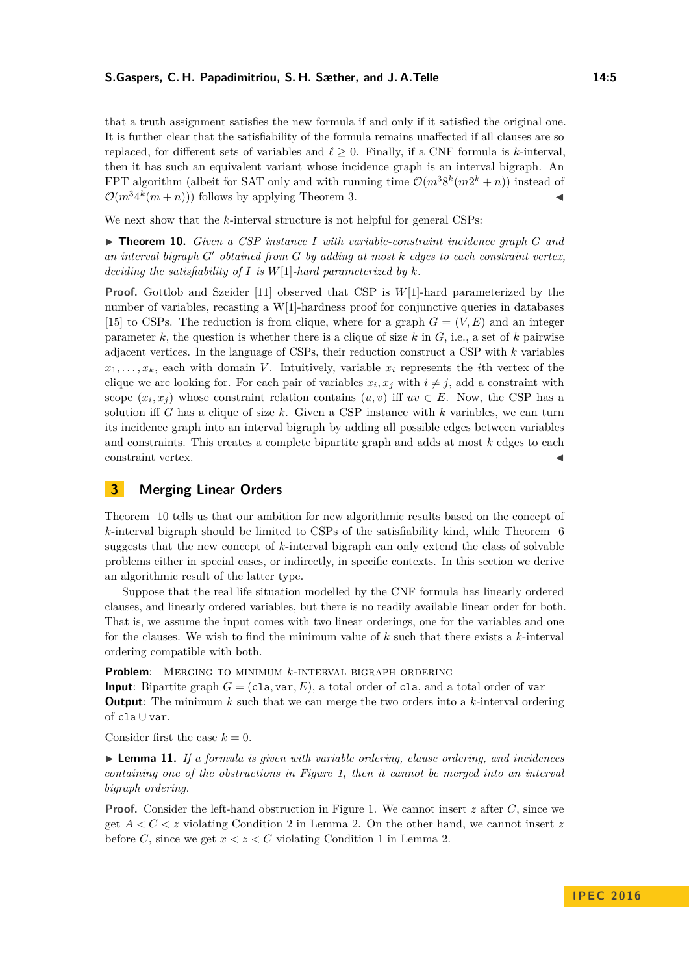#### **S.Gaspers, C. H. Papadimitriou, S. H. Sæther, and J. A.Telle 14:5**

that a truth assignment satisfies the new formula if and only if it satisfied the original one. It is further clear that the satisfiability of the formula remains unaffected if all clauses are so replaced, for different sets of variables and  $\ell > 0$ . Finally, if a CNF formula is *k*-interval, then it has such an equivalent variant whose incidence graph is an interval bigraph. An FPT algorithm (albeit for SAT only and with running time  $\mathcal{O}(m^3 8^k (m 2^k + n))$  instead of  $\mathcal{O}(m^3 4^k(m+n))$  follows by applying Theorem [3.](#page-3-0)

We next show that the *k*-interval structure is not helpful for general CSPs:

<span id="page-4-0"></span>▶ **Theorem 10.** *Given a CSP instance I* with variable-constraint incidence graph *G* and *an interval bigraph G*<sup>0</sup> *obtained from G by adding at most k edges to each constraint vertex, deciding the satisfiability of I is W*[1]*-hard parameterized by k.*

**Proof.** Gottlob and Szeider [\[11\]](#page-12-12) observed that CSP is *W*[1]-hard parameterized by the number of variables, recasting a W[1]-hardness proof for conjunctive queries in databases [\[15\]](#page-12-13) to CSPs. The reduction is from clique, where for a graph  $G = (V, E)$  and an integer parameter  $k$ , the question is whether there is a clique of size  $k$  in  $G$ , i.e., a set of  $k$  pairwise adjacent vertices. In the language of CSPs, their reduction construct a CSP with *k* variables  $x_1, \ldots, x_k$ , each with domain *V*. Intuitively, variable  $x_i$  represents the *i*th vertex of the clique we are looking for. For each pair of variables  $x_i, x_j$  with  $i \neq j$ , add a constraint with scope  $(x_i, x_j)$  whose constraint relation contains  $(u, v)$  iff  $uv \in E$ . Now, the CSP has a solution iff *G* has a clique of size *k*. Given a CSP instance with *k* variables, we can turn its incidence graph into an interval bigraph by adding all possible edges between variables and constraints. This creates a complete bipartite graph and adds at most *k* edges to each constraint vertex.

# **3 Merging Linear Orders**

Theorem [10](#page-4-0) tells us that our ambition for new algorithmic results based on the concept of *k*-interval bigraph should be limited to CSPs of the satisfiability kind, while Theorem [6](#page-3-1) suggests that the new concept of *k*-interval bigraph can only extend the class of solvable problems either in special cases, or indirectly, in specific contexts. In this section we derive an algorithmic result of the latter type.

Suppose that the real life situation modelled by the CNF formula has linearly ordered clauses, and linearly ordered variables, but there is no readily available linear order for both. That is, we assume the input comes with two linear orderings, one for the variables and one for the clauses. We wish to find the minimum value of *k* such that there exists a *k*-interval ordering compatible with both.

**Problem**: Merging to minimum *k*-interval bigraph ordering

**Input**: Bipartite graph  $G = (c1a, var, E)$ , a total order of cla, and a total order of var **Output**: The minimum *k* such that we can merge the two orders into a *k*-interval ordering of cla ∪ var.

Consider first the case  $k = 0$ .

I **Lemma 11.** *If a formula is given with variable ordering, clause ordering, and incidences containing one of the obstructions in Figure [1,](#page-5-0) then it cannot be merged into an interval bigraph ordering.*

**Proof.** Consider the left-hand obstruction in Figure [1.](#page-5-0) We cannot insert *z* after *C*, since we get *A < C < z* violating Condition 2 in Lemma [2.](#page-2-0) On the other hand, we cannot insert *z* before *C*, since we get  $x < z < C$  violating Condition 1 in Lemma [2.](#page-2-0)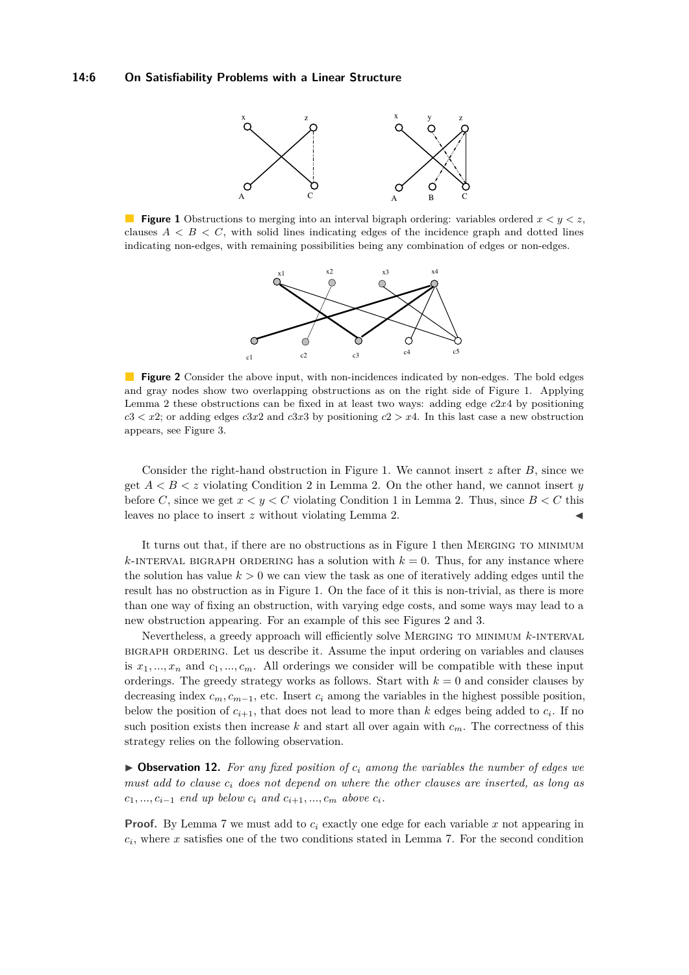<span id="page-5-0"></span>

<span id="page-5-1"></span>**Figure 1** Obstructions to merging into an interval bigraph ordering: variables ordered  $x < y < z$ , clauses  $A \leq B \leq C$ , with solid lines indicating edges of the incidence graph and dotted lines indicating non-edges, with remaining possibilities being any combination of edges or non-edges.



**Figure 2** Consider the above input, with non-incidences indicated by non-edges. The bold edges and gray nodes show two overlapping obstructions as on the right side of Figure [1.](#page-5-0) Applying Lemma [2](#page-2-0) these obstructions can be fixed in at least two ways: adding edge *c*2*x*4 by positioning  $c$ 3  $<$  *x*2; or adding edges *c*3*x*2 and *c*3*x*3 by positioning *c*2  $>$  *x*4. In this last case a new obstruction appears, see Figure [3.](#page-6-0)

Consider the right-hand obstruction in Figure [1.](#page-5-0) We cannot insert *z* after *B*, since we get *A < B < z* violating Condition 2 in Lemma [2.](#page-2-0) On the other hand, we cannot insert *y* before *C*, since we get  $x < y < C$  violating Condition 1 in Lemma [2.](#page-2-0) Thus, since  $B < C$  this leaves no place to insert *z* without violating Lemma [2.](#page-2-0)

It turns out that, if there are no obstructions as in Figure [1](#page-5-0) then Merging to minimum  $k$ -INTERVAL BIGRAPH ORDERING has a solution with  $k = 0$ . Thus, for any instance where the solution has value  $k > 0$  we can view the task as one of iteratively adding edges until the result has no obstruction as in Figure [1.](#page-5-0) On the face of it this is non-trivial, as there is more than one way of fixing an obstruction, with varying edge costs, and some ways may lead to a new obstruction appearing. For an example of this see Figures [2](#page-5-1) and [3.](#page-6-0)

Nevertheless, a greedy approach will efficiently solve Merging to minimum *k*-interval bigraph ordering. Let us describe it. Assume the input ordering on variables and clauses is  $x_1, ..., x_n$  and  $c_1, ..., c_m$ . All orderings we consider will be compatible with these input orderings. The greedy strategy works as follows. Start with  $k = 0$  and consider clauses by decreasing index  $c_m$ ,  $c_{m-1}$ , etc. Insert  $c_i$  among the variables in the highest possible position, below the position of  $c_{i+1}$ , that does not lead to more than  $k$  edges being added to  $c_i$ . If no such position exists then increase  $k$  and start all over again with  $c_m$ . The correctness of this strategy relies on the following observation.

<span id="page-5-2"></span> $\triangleright$  **Observation 12.** For any fixed position of  $c_i$  among the variables the number of edges we *must add to clause c<sup>i</sup> does not depend on where the other clauses are inserted, as long as*  $c_1, ..., c_{i-1}$  *end up below*  $c_i$  *and*  $c_{i+1}, ..., c_m$  *above*  $c_i$ *.* 

**Proof.** By Lemma [7](#page-3-4) we must add to  $c_i$  exactly one edge for each variable x not appearing in  $c_i$ , where *x* satisfies one of the two conditions stated in Lemma [7.](#page-3-4) For the second condition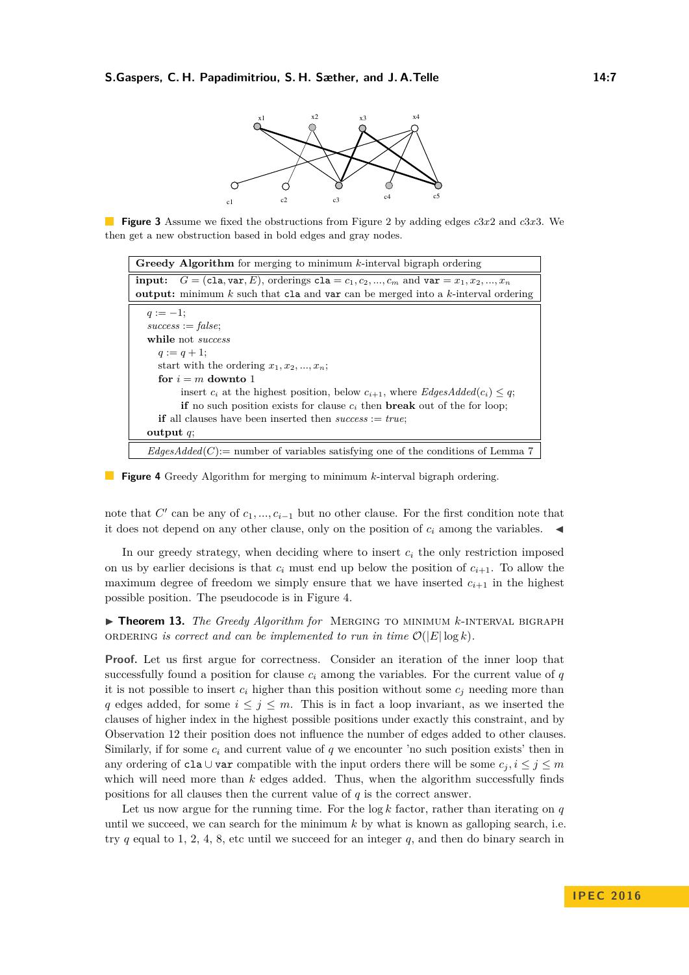

<span id="page-6-0"></span>**Figure 3** Assume we fixed the obstructions from Figure [2](#page-5-1) by adding edges *c*3*x*2 and *c*3*x*3. We then get a new obstruction based in bold edges and gray nodes.

<span id="page-6-1"></span>

| <b>Greedy Algorithm</b> for merging to minimum $k$ -interval bigraph ordering                     |
|---------------------------------------------------------------------------------------------------|
| <b>input:</b> $G = (c1a, var, E)$ , orderings $c1a = c_1, c_2, , c_m$ and $var = x_1, x_2, , x_n$ |
| <b>output:</b> minimum k such that cla and var can be merged into a k-interval ordering           |
| $q := -1$ ;                                                                                       |
| $success := false;$                                                                               |
| while not <i>success</i>                                                                          |
| $q := q + 1;$                                                                                     |
| start with the ordering $x_1, x_2, , x_n$ ;                                                       |
| for $i \equiv m$ downto 1                                                                         |
| insert $c_i$ at the highest position, below $c_{i+1}$ , where EdgesAdded( $c_i$ ) $\leq q$ ;      |
| <b>if</b> no such position exists for clause $c_i$ then <b>break</b> out of the for loop;         |
| <b>if</b> all clauses have been inserted then $success := true$ ;                                 |
| output $q$ ;                                                                                      |
| $EdgesAdded(C) :=$ number of variables satisfying one of the conditions of Lemma 7                |

**Figure 4** Greedy Algorithm for merging to minimum *k*-interval bigraph ordering.

note that  $C'$  can be any of  $c_1, ..., c_{i-1}$  but no other clause. For the first condition note that it does not depend on any other clause, only on the position of  $c_i$  among the variables.

In our greedy strategy, when deciding where to insert  $c_i$  the only restriction imposed on us by earlier decisions is that  $c_i$  must end up below the position of  $c_{i+1}$ . To allow the maximum degree of freedom we simply ensure that we have inserted  $c_{i+1}$  in the highest possible position. The pseudocode is in Figure [4.](#page-6-1)

<span id="page-6-2"></span>**Finder 13.** *The Greedy Algorithm for* MERGING TO MINIMUM *k*-INTERVAL BIGRAPH ORDERING *is correct and can be implemented to run in time*  $\mathcal{O}(|E| \log k)$ *.* 

**Proof.** Let us first argue for correctness. Consider an iteration of the inner loop that successfully found a position for clause  $c_i$  among the variables. For the current value of  $q$ it is not possible to insert  $c_i$  higher than this position without some  $c_j$  needing more than *q* edges added, for some  $i \leq j \leq m$ . This is in fact a loop invariant, as we inserted the clauses of higher index in the highest possible positions under exactly this constraint, and by Observation [12](#page-5-2) their position does not influence the number of edges added to other clauses. Similarly, if for some  $c_i$  and current value of  $q$  we encounter 'no such position exists' then in any ordering of cla ∪ var compatible with the input orders there will be some  $c_j$ ,  $i \leq j \leq m$ which will need more than *k* edges added. Thus, when the algorithm successfully finds positions for all clauses then the current value of *q* is the correct answer.

Let us now argue for the running time. For the  $log k$  factor, rather than iterating on  $q$ until we succeed, we can search for the minimum  $k$  by what is known as galloping search, i.e. try  $q$  equal to 1, 2, 4, 8, etc until we succeed for an integer  $q$ , and then do binary search in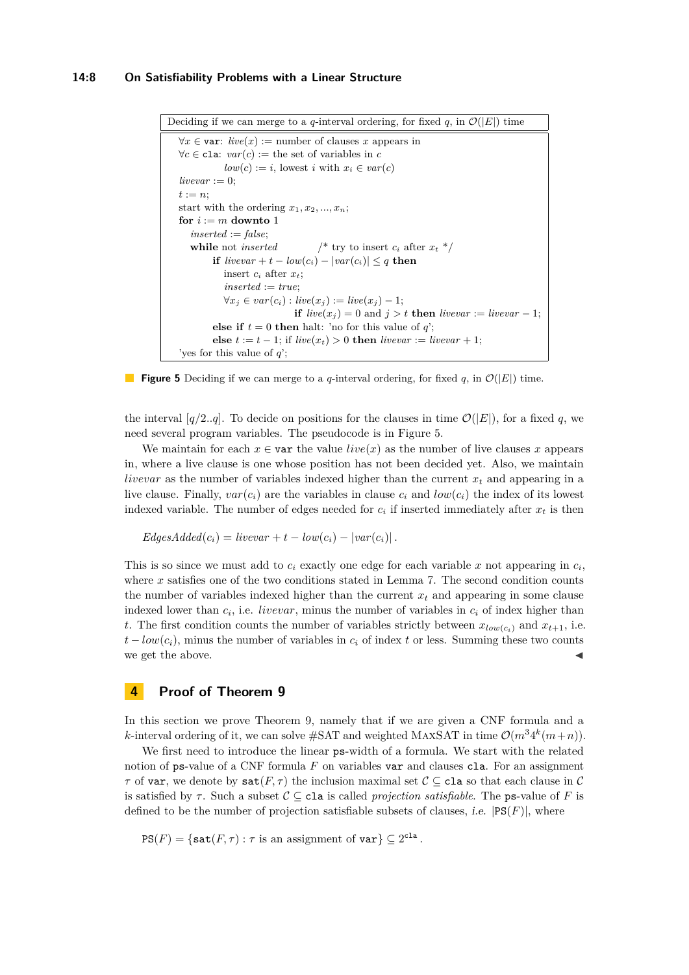### **14:8 On Satisfiability Problems with a Linear Structure**

<span id="page-7-0"></span>Deciding if we can merge to a *q*-interval ordering, for fixed *q*, in  $\mathcal{O}(|E|)$  time  $\forall x \in \text{var: } live(x) := \text{number of clauses } x \text{ appears in}$  $\forall c \in \text{cla}: \text{var}(c) := \text{the set of variables in } c$  $low(c) := i$ , lowest *i* with  $x_i \in var(c)$  $$  $t := n$ : start with the ordering  $x_1, x_2, ..., x_n$ ; for  $i := m$  downto 1 *inserted* := *false*; **while** not *inserted* /\* try to insert  $c_i$  after  $x_t$  \*/ **if**  $livevar + t - low(c_i) - |var(c_i)| \leq q$  **then** insert  $c_i$  after  $x_t$ ; *inserted* := *true*;  $\forall x_i \in var(c_i) : live(x_i) := live(x_i) - 1;$ **if**  $live(x_j) = 0$  and  $j > t$  **then**  $livevar := liverar - 1$ ; **else if**  $t = 0$  **then** halt: 'no for this value of *q*'; **else**  $t := t − 1$ ; if  $live(x_t) > 0$  **then**  $livevar := liver + 1$ ; 'yes for this value of *q*';

**Figure 5** Deciding if we can merge to a *q*-interval ordering, for fixed *q*, in  $\mathcal{O}(|E|)$  time.

the interval  $[q/2..q]$ . To decide on positions for the clauses in time  $\mathcal{O}(|E|)$ , for a fixed q, we need several program variables. The pseudocode is in Figure [5.](#page-7-0)

We maintain for each  $x \in \text{var}$  the value  $live(x)$  as the number of live clauses x appears in, where a live clause is one whose position has not been decided yet. Also, we maintain *livevar* as the number of variables indexed higher than the current *x<sup>t</sup>* and appearing in a live clause. Finally,  $var(c_i)$  are the variables in clause  $c_i$  and  $low(c_i)$  the index of its lowest indexed variable. The number of edges needed for  $c_i$  if inserted immediately after  $x_t$  is then

 $EdgesAdded(c_i) = livevar + t - low(c_i) - |var(c_i)|$ .

This is so since we must add to  $c_i$  exactly one edge for each variable  $x$  not appearing in  $c_i$ , where *x* satisfies one of the two conditions stated in Lemma [7.](#page-3-4) The second condition counts the number of variables indexed higher than the current  $x_t$  and appearing in some clause indexed lower than *c<sup>i</sup>* , i.e. *livevar*, minus the number of variables in *c<sup>i</sup>* of index higher than *t*. The first condition counts the number of variables strictly between  $x_{low(c_i)}$  and  $x_{t+1}$ , i.e.  $t - low(c_i)$ , minus the number of variables in  $c_i$  of index t or less. Summing these two counts we get the above.

### **4 Proof of Theorem [9](#page-3-2)**

In this section we prove Theorem [9,](#page-3-2) namely that if we are given a CNF formula and a *k*-interval ordering of it, we can solve  $\#SAT$  and weighted MAXSAT in time  $\mathcal{O}(m^34^k(m+n))$ .

We first need to introduce the linear ps-width of a formula. We start with the related notion of ps-value of a CNF formula F on variables var and clauses cla. For an assignment *τ* of var, we denote by  $\text{sat}(F,\tau)$  the inclusion maximal set  $\mathcal{C} \subseteq \text{cla so that each clause in } \mathcal{C}$ is satisfied by  $\tau$ . Such a subset  $\mathcal{C} \subset \mathsf{cla}$  is called *projection satisfiable*. The ps-value of F is defined to be the number of projection satisfiable subsets of clauses, *i.e.*  $|PS(F)|$ , where

 $PS(F) = \{ \text{sat}(F,\tau) : \tau \text{ is an assignment of } \text{var} \} \subseteq 2^{\text{cla}}.$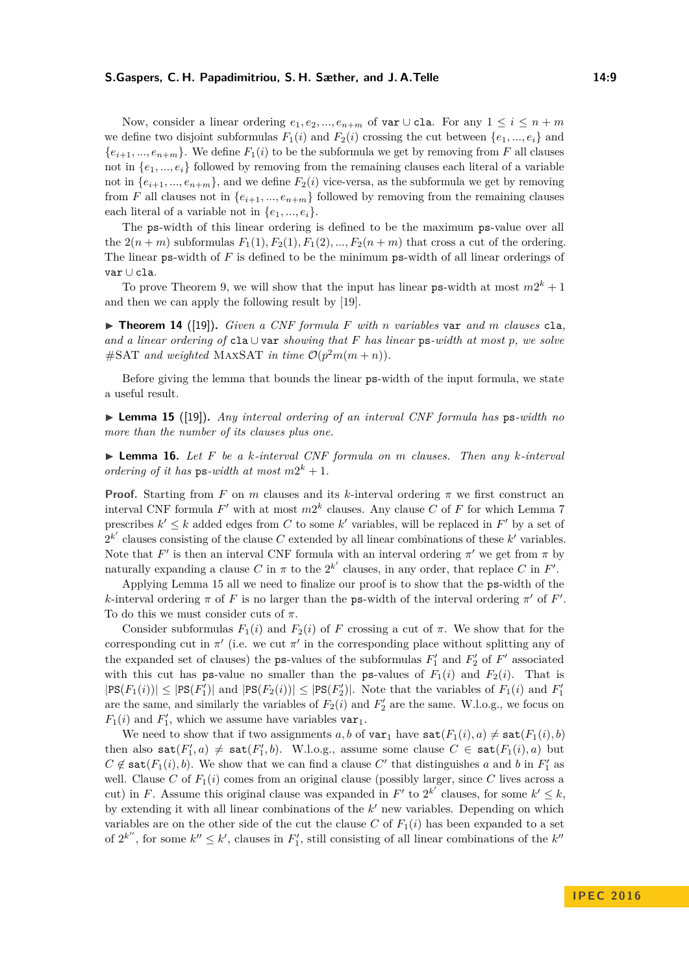### **S.Gaspers, C. H. Papadimitriou, S. H. Sæther, and J. A.Telle 14:9**

Now, consider a linear ordering  $e_1, e_2, ..., e_{n+m}$  of var ∪ cla. For any  $1 \leq i \leq n+m$ we define two disjoint subformulas  $F_1(i)$  and  $F_2(i)$  crossing the cut between  $\{e_1, ..., e_i\}$  and  ${e_{i+1},...,e_{n+m}}$ . We define  $F_1(i)$  to be the subformula we get by removing from *F* all clauses not in {*e*1*, ..., ei*} followed by removing from the remaining clauses each literal of a variable not in  $\{e_{i+1},...,e_{n+m}\}$ , and we define  $F_2(i)$  vice-versa, as the subformula we get by removing from *F* all clauses not in  $\{e_{i+1},...,e_{n+m}\}$  followed by removing from the remaining clauses each literal of a variable not in  $\{e_1, ..., e_i\}.$ 

The ps-width of this linear ordering is defined to be the maximum ps-value over all the  $2(n+m)$  subformulas  $F_1(1), F_2(1), F_1(2), ..., F_2(n+m)$  that cross a cut of the ordering. The linear ps-width of *F* is defined to be the minimum ps-width of all linear orderings of var ∪ cla.

To prove Theorem [9,](#page-3-2) we will show that the input has linear  $ps$ -width at most  $m2^k + 1$ and then we can apply the following result by [\[19\]](#page-12-0).

<span id="page-8-1"></span> $\triangleright$  **Theorem 14** ([\[19\]](#page-12-0)). Given a CNF formula F with *n* variables var and *m* clauses cla, *and a linear ordering of* cla ∪ var *showing that F has linear* ps*-width at most p, we solve*  $\#SAT$  *and weighted* MAXSAT *in time*  $\mathcal{O}(p^2m(m+n))$ *.* 

Before giving the lemma that bounds the linear ps-width of the input formula, we state a useful result.

<span id="page-8-0"></span>I **Lemma 15** ([\[19\]](#page-12-0))**.** *Any interval ordering of an interval CNF formula has* ps*-width no more than the number of its clauses plus one.*

<span id="page-8-2"></span>I **Lemma 16.** *Let F be a k-interval CNF formula on m clauses. Then any k-interval ordering of it has*  $ps$ *-width at most*  $m2^k + 1$ *.* 

**Proof.** Starting from *F* on *m* clauses and its *k*-interval ordering  $\pi$  we first construct an interval CNF formula  $F'$  with at most  $m2^k$  clauses. Any clause  $C$  of  $F$  for which Lemma [7](#page-3-4) prescribes  $k' \leq k$  added edges from C to some k' variables, will be replaced in F' by a set of  $2^{k'}$  clauses consisting of the clause *C* extended by all linear combinations of these  $k'$  variables. Note that  $F'$  is then an interval CNF formula with an interval ordering  $\pi'$  we get from  $\pi$  by naturally expanding a clause  $C$  in  $\pi$  to the  $2^{k'}$  clauses, in any order, that replace  $C$  in  $F'$ .

Applying Lemma [15](#page-8-0) all we need to finalize our proof is to show that the ps-width of the *k*-interval ordering  $\pi$  of  $F$  is no larger than the ps-width of the interval ordering  $\pi'$  of  $F'$ . To do this we must consider cuts of *π*.

Consider subformulas  $F_1(i)$  and  $F_2(i)$  of F crossing a cut of  $\pi$ . We show that for the corresponding cut in  $\pi'$  (i.e. we cut  $\pi'$  in the corresponding place without splitting any of the expanded set of clauses) the **ps**-values of the subformulas  $F'_1$  and  $F'_2$  of  $F'$  associated with this cut has ps-value no smaller than the ps-values of  $F_1(i)$  and  $F_2(i)$ . That is  $|\text{PS}(F_1(i))| \leq |\text{PS}(F'_1)|$  and  $|\text{PS}(F_2(i))| \leq |\text{PS}(F'_2)|$ . Note that the variables of  $F_1(i)$  and  $F'_1$ are the same, and similarly the variables of  $F_2(i)$  and  $F'_2$  are the same. W.l.o.g., we focus on  $F_1(i)$  and  $F'_1$ , which we assume have variables  $var_1$ .

We need to show that if two assignments a, b of  $var_1$  have  $sat(F_1(i), a) \neq sat(F_1(i), b)$ then also  $\text{sat}(F'_1, a) \neq \text{sat}(F'_1, b)$ . W.l.o.g., assume some clause  $C \in \text{sat}(F_1(i), a)$  but  $C \notin \text{sat}(F_1(i), b)$ . We show that we can find a clause  $C'$  that distinguishes *a* and *b* in  $F'_1$  as well. Clause *C* of  $F_1(i)$  comes from an original clause (possibly larger, since *C* lives across a cut) in *F*. Assume this original clause was expanded in *F*' to  $2^{k'}$  clauses, for some  $k' \leq k$ , by extending it with all linear combinations of the  $k'$  new variables. Depending on which variables are on the other side of the cut the clause  $C$  of  $F_1(i)$  has been expanded to a set of  $2^{k''}$ , for some  $k'' \leq k'$ , clauses in  $F'_1$ , still consisting of all linear combinations of the  $k''$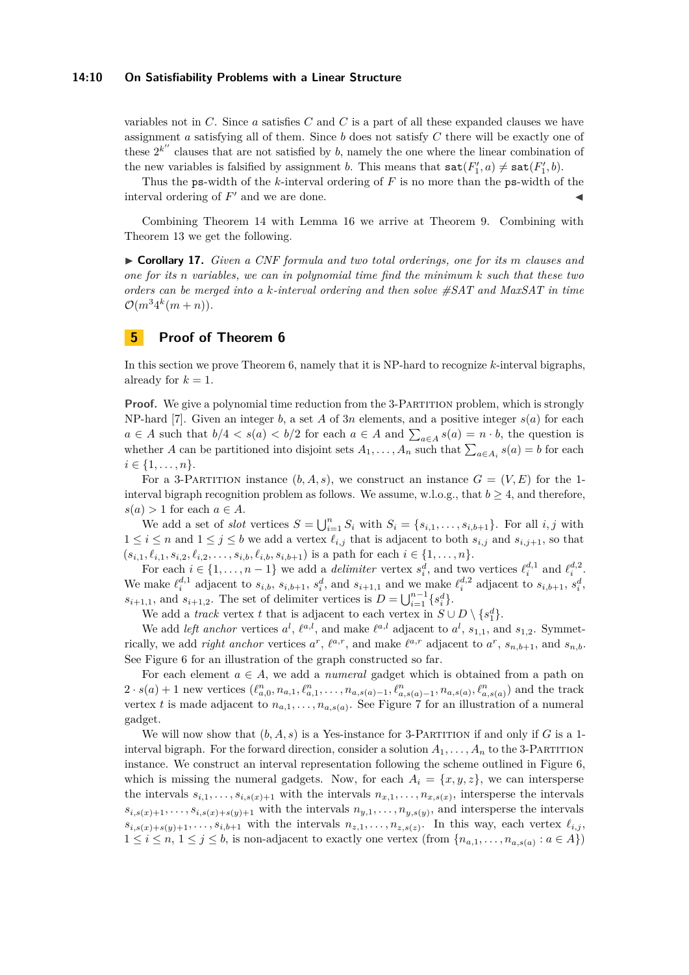#### **14:10 On Satisfiability Problems with a Linear Structure**

variables not in *C*. Since *a* satisfies *C* and *C* is a part of all these expanded clauses we have assignment *a* satisfying all of them. Since *b* does not satisfy *C* there will be exactly one of these  $2^{k''}$  clauses that are not satisfied by *b*, namely the one where the linear combination of the new variables is falsified by assignment *b*. This means that  $\text{sat}(F'_1, a) \neq \text{sat}(F'_1, b)$ .

Thus the ps-width of the *k*-interval ordering of *F* is no more than the ps-width of the interval ordering of  $F'$  and we are done.

Combining Theorem [14](#page-8-1) with Lemma [16](#page-8-2) we arrive at Theorem [9.](#page-3-2) Combining with Theorem [13](#page-6-2) we get the following.

I **Corollary 17.** *Given a CNF formula and two total orderings, one for its m clauses and one for its n variables, we can in polynomial time find the minimum k such that these two orders can be merged into a k-interval ordering and then solve #SAT and MaxSAT in time*  $\mathcal{O}(m^3 4^k(m+n)).$ 

# <span id="page-9-0"></span>**5 Proof of Theorem [6](#page-3-1)**

In this section we prove Theorem [6,](#page-3-1) namely that it is NP-hard to recognize *k*-interval bigraphs, already for  $k = 1$ .

**Proof.** We give a polynomial time reduction from the 3-PARTITION problem, which is strongly NP-hard [\[7\]](#page-12-14). Given an integer *b*, a set *A* of 3*n* elements, and a positive integer  $s(a)$  for each *a* ∈ *A* such that  $b/4 < s$ (*a*)  **for each** *a* **∈** *A* **and**  $\sum_{a \in A} s(a) = n \cdot b$ **, the question is** whether *A* can be partitioned into disjoint sets  $A_1, \ldots, A_n$  such that  $\sum_{a \in A_i} s(a) = b$  for each  $i \in \{1, \ldots, n\}.$ 

For a 3-PARTITION instance  $(b, A, s)$ , we construct an instance  $G = (V, E)$  for the 1interval bigraph recognition problem as follows. We assume, w.l.o.g., that  $b \geq 4$ , and therefore,  $s(a) > 1$  for each  $a \in A$ .

We add a set of *slot* vertices  $S = \bigcup_{i=1}^{n} S_i$  with  $S_i = \{s_{i,1}, \ldots, s_{i,b+1}\}$ . For all  $i, j$  with  $1 \leq i \leq n$  and  $1 \leq j \leq b$  we add a vertex  $\ell_{i,j}$  that is adjacent to both  $s_{i,j}$  and  $s_{i,j+1}$ , so that  $(s_{i,1}, \ell_{i,1}, s_{i,2}, \ell_{i,2}, \ldots, s_{i,b}, \ell_{i,b}, s_{i,b+1})$  is a path for each  $i \in \{1, \ldots, n\}.$ 

For each  $i \in \{1, ..., n-1\}$  we add a *delimiter* vertex  $s_i^d$ , and two vertices  $\ell_i^{d,1}$  and  $\ell_i^{d,2}$ . We make  $\ell_i^{d,1}$  adjacent to  $s_{i,b}$ ,  $s_{i,b+1}$ ,  $s_i^d$ , and  $s_{i+1,1}$  and we make  $\ell_i^{d,2}$  adjacent to  $s_{i,b+1}$ ,  $s_i^d$ ,  $s_{i+1,1}$ , and  $s_{i+1,2}$ . The set of delimiter vertices is  $D = \bigcup_{i=1}^{n-1} \{s_i^d\}$ .

We add a *track* vertex *t* that is adjacent to each vertex in  $S \cup D \setminus \{s_1^d\}$ .

We add *left anchor* vertices  $a^l$ ,  $\ell^{a,l}$ , and make  $\ell^{a,l}$  adjacent to  $a^l$ ,  $s_{1,1}$ , and  $s_{1,2}$ . Symmetrically, we add *right anchor* vertices  $a^r$ ,  $\ell^{a,r}$ , and make  $\ell^{a,r}$  adjacent to  $a^r$ ,  $s_{n,b+1}$ , and  $s_{n,b}$ . See Figure [6](#page-10-0) for an illustration of the graph constructed so far.

For each element  $a \in A$ , we add a *numeral* gadget which is obtained from a path on  $2 \cdot s(a) + 1$  new vertices  $(\ell_{a,0}^n, n_{a,1}, \ell_{a,1}^n, \ldots, n_{a,s(a)-1}, \ell_{a,s(a)-1}^n, n_{a,s(a)}, \ell_{a,s(a)}^n)$  and the track vertex *t* is made adjacent to  $n_{a,1}, \ldots, n_{a,s(a)}$ . See Figure [7](#page-11-3) for an illustration of a numeral gadget.

We will now show that  $(b, A, s)$  is a Yes-instance for 3-PARTITION if and only if G is a 1interval bigraph. For the forward direction, consider a solution  $A_1, \ldots, A_n$  to the 3-PARTITION instance. We construct an interval representation following the scheme outlined in Figure [6,](#page-10-0) which is missing the numeral gadgets. Now, for each  $A_i = \{x, y, z\}$ , we can intersperse the intervals  $s_{i,1}, \ldots, s_{i,s(x)+1}$  with the intervals  $n_{x,1}, \ldots, n_{x,s(x)}$ , intersperse the intervals  $s_{i,s(x)+1}, \ldots, s_{i,s(x)+s(y)+1}$  with the intervals  $n_{y,1}, \ldots, n_{y,s(y)}$ , and intersperse the intervals  $s_{i,s(x)+s(y)+1}, \ldots, s_{i,b+1}$  with the intervals  $n_{z,1}, \ldots, n_{z,s(z)}$ . In this way, each vertex  $\ell_{i,j}$ , 1 ≤ *i* ≤ *n*, 1 ≤ *j* ≤ *b*, is non-adjacent to exactly one vertex (from { $n_{a,1}, \ldots, n_{a,s(a)} : a \in A$ })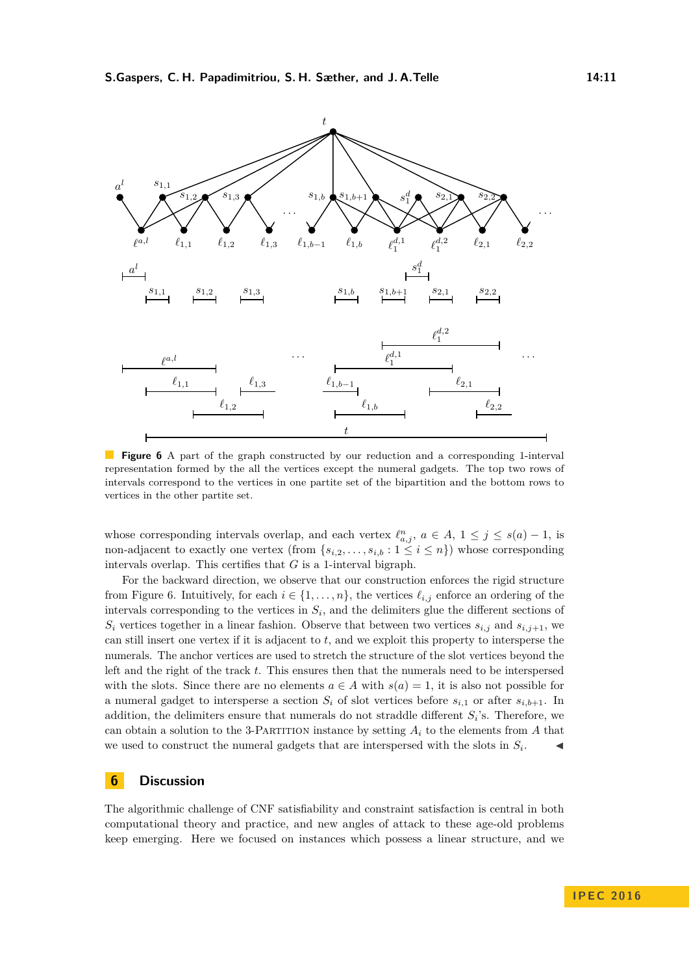<span id="page-10-0"></span>

**Figure 6** A part of the graph constructed by our reduction and a corresponding 1-interval representation formed by the all the vertices except the numeral gadgets. The top two rows of intervals correspond to the vertices in one partite set of the bipartition and the bottom rows to vertices in the other partite set.

whose corresponding intervals overlap, and each vertex  $\ell_{a,j}^n$ ,  $a \in A$ ,  $1 \leq j \leq s(a) - 1$ , is non-adjacent to exactly one vertex (from  $\{s_{i,2},\ldots,s_{i,b}:1\leq i\leq n\}$ ) whose corresponding intervals overlap. This certifies that *G* is a 1-interval bigraph.

For the backward direction, we observe that our construction enforces the rigid structure from Figure [6.](#page-10-0) Intuitively, for each  $i \in \{1, \ldots, n\}$ , the vertices  $\ell_{i,j}$  enforce an ordering of the intervals corresponding to the vertices in  $S_i$ , and the delimiters glue the different sections of  $S_i$  vertices together in a linear fashion. Observe that between two vertices  $s_{i,j}$  and  $s_{i,j+1}$ , we can still insert one vertex if it is adjacent to *t*, and we exploit this property to intersperse the numerals. The anchor vertices are used to stretch the structure of the slot vertices beyond the left and the right of the track *t*. This ensures then that the numerals need to be interspersed with the slots. Since there are no elements  $a \in A$  with  $s(a) = 1$ , it is also not possible for a numeral gadget to intersperse a section  $S_i$  of slot vertices before  $s_{i,1}$  or after  $s_{i,b+1}$ . In addition, the delimiters ensure that numerals do not straddle different  $S_i$ 's. Therefore, we can obtain a solution to the 3-PARTITION instance by setting  $A_i$  to the elements from  $A$  that we used to construct the numeral gadgets that are interspersed with the slots in  $S_i$ .  $\overline{a}$ 

### **6 Discussion**

The algorithmic challenge of CNF satisfiability and constraint satisfaction is central in both computational theory and practice, and new angles of attack to these age-old problems keep emerging. Here we focused on instances which possess a linear structure, and we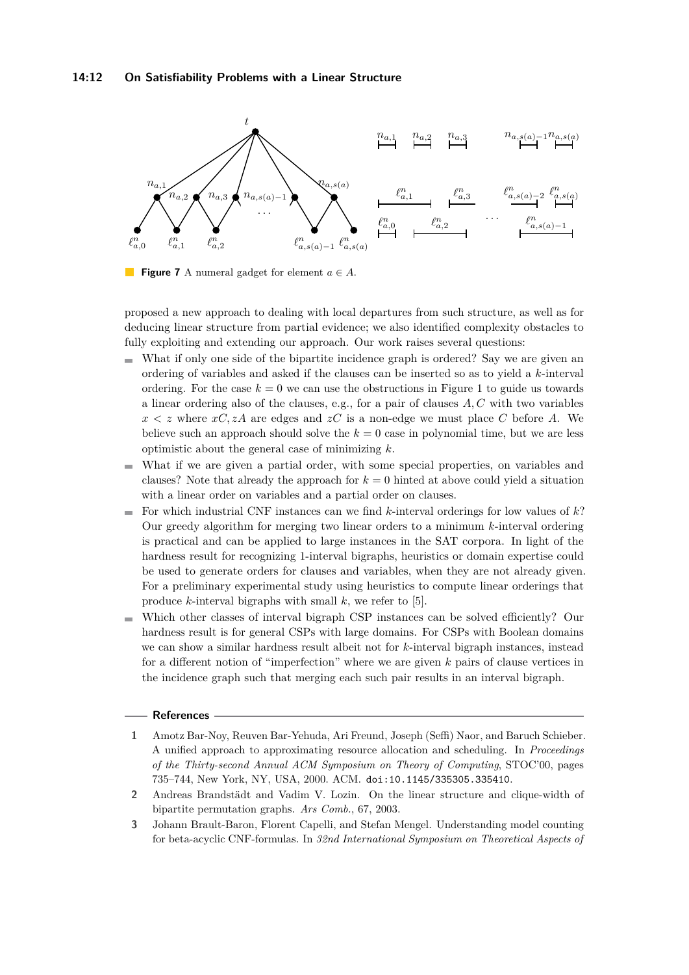<span id="page-11-3"></span>

**Figure 7** A numeral gadget for element *a* ∈ *A*.

proposed a new approach to dealing with local departures from such structure, as well as for deducing linear structure from partial evidence; we also identified complexity obstacles to fully exploiting and extending our approach. Our work raises several questions:

- What if only one side of the bipartite incidence graph is ordered? Say we are given an ordering of variables and asked if the clauses can be inserted so as to yield a *k*-interval ordering. For the case  $k = 0$  we can use the obstructions in Figure [1](#page-5-0) to guide us towards a linear ordering also of the clauses, e.g., for a pair of clauses *A, C* with two variables  $x < z$  where  $xC$ ,  $zA$  are edges and  $zC$  is a non-edge we must place C before A. We believe such an approach should solve the  $k = 0$  case in polynomial time, but we are less optimistic about the general case of minimizing *k*.
- What if we are given a partial order, with some special properties, on variables and  $\bar{a}$ clauses? Note that already the approach for  $k = 0$  hinted at above could yield a situation with a linear order on variables and a partial order on clauses.
- $\blacksquare$  For which industrial CNF instances can we find *k*-interval orderings for low values of *k*? Our greedy algorithm for merging two linear orders to a minimum *k*-interval ordering is practical and can be applied to large instances in the SAT corpora. In light of the hardness result for recognizing 1-interval bigraphs, heuristics or domain expertise could be used to generate orders for clauses and variables, when they are not already given. For a preliminary experimental study using heuristics to compute linear orderings that produce *k*-interval bigraphs with small *k*, we refer to [\[5\]](#page-12-15).
- Which other classes of interval bigraph CSP instances can be solved efficiently? Our  $\equiv$ hardness result is for general CSPs with large domains. For CSPs with Boolean domains we can show a similar hardness result albeit not for *k*-interval bigraph instances, instead for a different notion of "imperfection" where we are given *k* pairs of clause vertices in the incidence graph such that merging each such pair results in an interval bigraph.

### **References**

- <span id="page-11-0"></span>**1** Amotz Bar-Noy, Reuven Bar-Yehuda, Ari Freund, Joseph (Seffi) Naor, and Baruch Schieber. A unified approach to approximating resource allocation and scheduling. In *Proceedings of the Thirty-second Annual ACM Symposium on Theory of Computing*, STOC'00, pages 735–744, New York, NY, USA, 2000. ACM. [doi:10.1145/335305.335410](http://dx.doi.org/10.1145/335305.335410).
- <span id="page-11-1"></span>**2** Andreas Brandstädt and Vadim V. Lozin. On the linear structure and clique-width of bipartite permutation graphs. *Ars Comb.*, 67, 2003.
- <span id="page-11-2"></span>**3** Johann Brault-Baron, Florent Capelli, and Stefan Mengel. Understanding model counting for beta-acyclic CNF-formulas. In *32nd International Symposium on Theoretical Aspects of*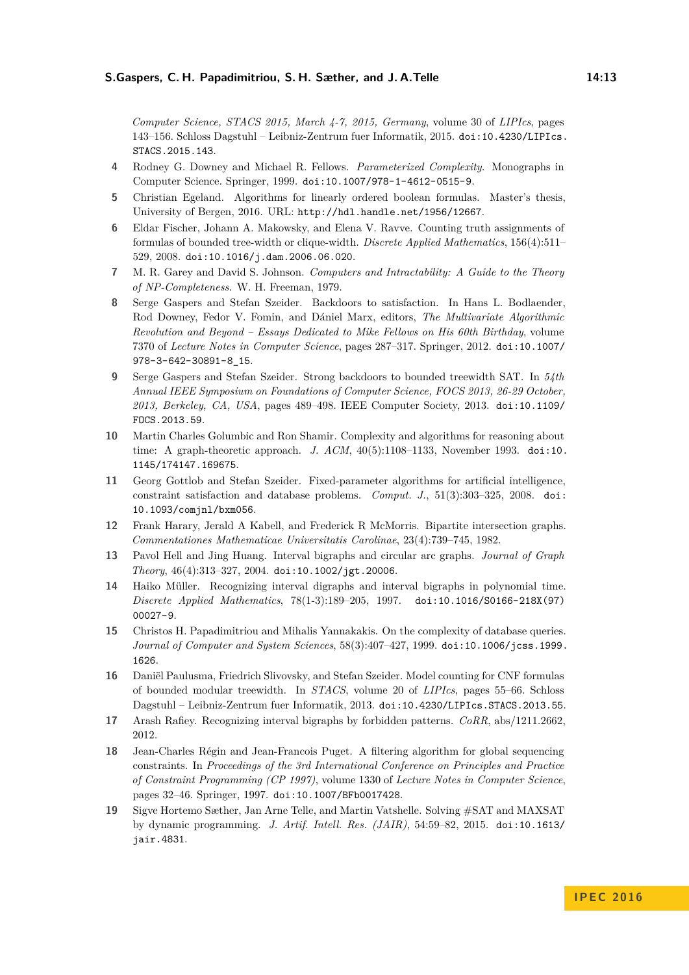*Computer Science, STACS 2015, March 4-7, 2015, Germany*, volume 30 of *LIPIcs*, pages 143–156. Schloss Dagstuhl – Leibniz-Zentrum fuer Informatik, 2015. [doi:10.4230/LIPIcs.](http://dx.doi.org/10.4230/LIPIcs.STACS.2015.143) [STACS.2015.143](http://dx.doi.org/10.4230/LIPIcs.STACS.2015.143).

- <span id="page-12-11"></span>**4** Rodney G. Downey and Michael R. Fellows. *Parameterized Complexity*. Monographs in Computer Science. Springer, 1999. [doi:10.1007/978-1-4612-0515-9](http://dx.doi.org/10.1007/978-1-4612-0515-9).
- <span id="page-12-15"></span>**5** Christian Egeland. Algorithms for linearly ordered boolean formulas. Master's thesis, University of Bergen, 2016. URL: <http://hdl.handle.net/1956/12667>.
- <span id="page-12-1"></span>**6** Eldar Fischer, Johann A. Makowsky, and Elena V. Ravve. Counting truth assignments of formulas of bounded tree-width or clique-width. *Discrete Applied Mathematics*, 156(4):511– 529, 2008. [doi:10.1016/j.dam.2006.06.020](http://dx.doi.org/10.1016/j.dam.2006.06.020).
- <span id="page-12-14"></span>**7** M. R. Garey and David S. Johnson. *Computers and Intractability: A Guide to the Theory of NP-Completeness*. W. H. Freeman, 1979.
- <span id="page-12-3"></span>**8** Serge Gaspers and Stefan Szeider. Backdoors to satisfaction. In Hans L. Bodlaender, Rod Downey, Fedor V. Fomin, and Dániel Marx, editors, *The Multivariate Algorithmic Revolution and Beyond – Essays Dedicated to Mike Fellows on His 60th Birthday*, volume 7370 of *Lecture Notes in Computer Science*, pages 287–317. Springer, 2012. [doi:10.1007/](http://dx.doi.org/10.1007/978-3-642-30891-8_15) [978-3-642-30891-8\\_15](http://dx.doi.org/10.1007/978-3-642-30891-8_15).
- <span id="page-12-4"></span>**9** Serge Gaspers and Stefan Szeider. Strong backdoors to bounded treewidth SAT. In *54th Annual IEEE Symposium on Foundations of Computer Science, FOCS 2013, 26-29 October, 2013, Berkeley, CA, USA*, pages 489–498. IEEE Computer Society, 2013. [doi:10.1109/](http://dx.doi.org/10.1109/FOCS.2013.59) [FOCS.2013.59](http://dx.doi.org/10.1109/FOCS.2013.59).
- <span id="page-12-5"></span>**10** Martin Charles Golumbic and Ron Shamir. Complexity and algorithms for reasoning about time: A graph-theoretic approach. *J. ACM*, 40(5):1108–1133, November 1993. [doi:10.](http://dx.doi.org/10.1145/174147.169675) [1145/174147.169675](http://dx.doi.org/10.1145/174147.169675).
- <span id="page-12-12"></span>**11** Georg Gottlob and Stefan Szeider. Fixed-parameter algorithms for artificial intelligence, constraint satisfaction and database problems. *Comput. J.*, 51(3):303–325, 2008. [doi:](http://dx.doi.org/10.1093/comjnl/bxm056) [10.1093/comjnl/bxm056](http://dx.doi.org/10.1093/comjnl/bxm056).
- <span id="page-12-6"></span>**12** Frank Harary, Jerald A Kabell, and Frederick R McMorris. Bipartite intersection graphs. *Commentationes Mathematicae Universitatis Carolinae*, 23(4):739–745, 1982.
- <span id="page-12-9"></span>**13** Pavol Hell and Jing Huang. Interval bigraphs and circular arc graphs. *Journal of Graph Theory*, 46(4):313–327, 2004. [doi:10.1002/jgt.20006](http://dx.doi.org/10.1002/jgt.20006).
- <span id="page-12-7"></span>**14** Haiko Müller. Recognizing interval digraphs and interval bigraphs in polynomial time. *Discrete Applied Mathematics*, 78(1-3):189–205, 1997. [doi:10.1016/S0166-218X\(97\)](http://dx.doi.org/10.1016/S0166-218X(97)00027-9) [00027-9](http://dx.doi.org/10.1016/S0166-218X(97)00027-9).
- <span id="page-12-13"></span>**15** Christos H. Papadimitriou and Mihalis Yannakakis. On the complexity of database queries. *Journal of Computer and System Sciences*, 58(3):407–427, 1999. [doi:10.1006/jcss.1999.](http://dx.doi.org/10.1006/jcss.1999.1626) [1626](http://dx.doi.org/10.1006/jcss.1999.1626).
- <span id="page-12-2"></span>**16** Daniël Paulusma, Friedrich Slivovsky, and Stefan Szeider. Model counting for CNF formulas of bounded modular treewidth. In *STACS*, volume 20 of *LIPIcs*, pages 55–66. Schloss Dagstuhl – Leibniz-Zentrum fuer Informatik, 2013. [doi:10.4230/LIPIcs.STACS.2013.55](http://dx.doi.org/10.4230/LIPIcs.STACS.2013.55).
- <span id="page-12-8"></span>**17** Arash Rafiey. Recognizing interval bigraphs by forbidden patterns. *CoRR*, abs/1211.2662, 2012.
- <span id="page-12-10"></span>**18** Jean-Charles Régin and Jean-Francois Puget. A filtering algorithm for global sequencing constraints. In *Proceedings of the 3rd International Conference on Principles and Practice of Constraint Programming (CP 1997)*, volume 1330 of *Lecture Notes in Computer Science*, pages 32–46. Springer, 1997. [doi:10.1007/BFb0017428](http://dx.doi.org/10.1007/BFb0017428).
- <span id="page-12-0"></span>**19** Sigve Hortemo Sæther, Jan Arne Telle, and Martin Vatshelle. Solving #SAT and MAXSAT by dynamic programming. *J. Artif. Intell. Res. (JAIR)*, 54:59–82, 2015. [doi:10.1613/](http://dx.doi.org/10.1613/jair.4831) [jair.4831](http://dx.doi.org/10.1613/jair.4831).